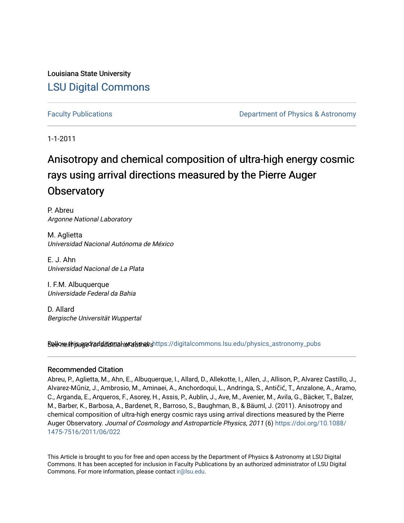Louisiana State University [LSU Digital Commons](https://digitalcommons.lsu.edu/)

[Faculty Publications](https://digitalcommons.lsu.edu/physics_astronomy_pubs) **Example 2** Constant Department of Physics & Astronomy

1-1-2011

# Anisotropy and chemical composition of ultra-high energy cosmic rays using arrival directions measured by the Pierre Auger **Observatory**

P. Abreu Argonne National Laboratory

M. Aglietta Universidad Nacional Autónoma de México

E. J. Ahn Universidad Nacional de La Plata

I. F.M. Albuquerque Universidade Federal da Bahia

D. Allard Bergische Universität Wuppertal

Sellow this age for ditional works and the still digital commons.lsu.edu/physics\_astronomy\_pubs

#### Recommended Citation

Abreu, P., Aglietta, M., Ahn, E., Albuquerque, I., Allard, D., Allekotte, I., Allen, J., Allison, P., Alvarez Castillo, J., Alvarez-Mũniz, J., Ambrosio, M., Aminaei, A., Anchordoqui, L., Andringa, S., Antičić, T., Anzalone, A., Aramo, C., Arganda, E., Arqueros, F., Asorey, H., Assis, P., Aublin, J., Ave, M., Avenier, M., Avila, G., Bäcker, T., Balzer, M., Barber, K., Barbosa, A., Bardenet, R., Barroso, S., Baughman, B., & Bäuml, J. (2011). Anisotropy and chemical composition of ultra-high energy cosmic rays using arrival directions measured by the Pierre Auger Observatory. Journal of Cosmology and Astroparticle Physics, 2011 (6) [https://doi.org/10.1088/](https://doi.org/10.1088/1475-7516/2011/06/022) [1475-7516/2011/06/022](https://doi.org/10.1088/1475-7516/2011/06/022) 

This Article is brought to you for free and open access by the Department of Physics & Astronomy at LSU Digital Commons. It has been accepted for inclusion in Faculty Publications by an authorized administrator of LSU Digital Commons. For more information, please contact [ir@lsu.edu](mailto:ir@lsu.edu).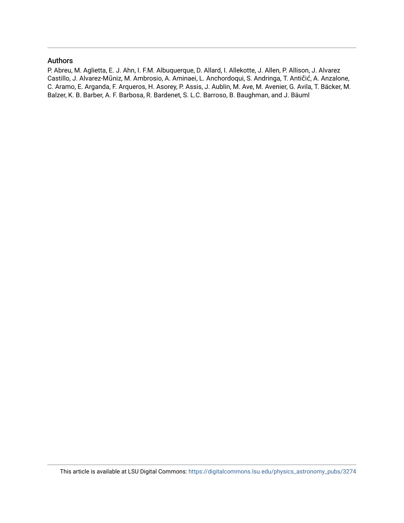#### Authors

P. Abreu, M. Aglietta, E. J. Ahn, I. F.M. Albuquerque, D. Allard, I. Allekotte, J. Allen, P. Allison, J. Alvarez Castillo, J. Alvarez-Mũniz, M. Ambrosio, A. Aminaei, L. Anchordoqui, S. Andringa, T. Antičić, A. Anzalone, C. Aramo, E. Arganda, F. Arqueros, H. Asorey, P. Assis, J. Aublin, M. Ave, M. Avenier, G. Avila, T. Bäcker, M. Balzer, K. B. Barber, A. F. Barbosa, R. Bardenet, S. L.C. Barroso, B. Baughman, and J. Bäuml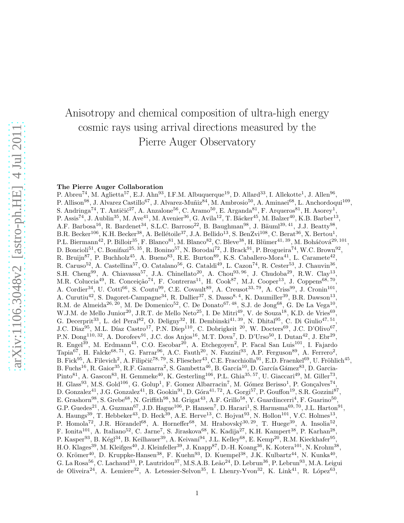# Anisotropy and chemical composition of ultra-high energy cosmic rays using arrival directions measured by the Pierre Auger Observatory

#### The Pierre Auger Collaboration

P. Abreu<sup>74</sup>, M. Aglietta<sup>57</sup>, E.J. Ahn<sup>93</sup>, I.F.M. Albuquerque<sup>19</sup>, D. Allard<sup>33</sup>, I. Allekotte<sup>1</sup>, J. Allen<sup>96</sup>, P. Allison<sup>98</sup>, J. Alvarez Castillo<sup>67</sup>, J. Alvarez-Muñiz<sup>84</sup>, M. Ambrosio<sup>50</sup>, A. Aminaei<sup>68</sup>, L. Anchordoqui<sup>109</sup>, S. Andringa<sup>74</sup>, T. Antičić<sup>27</sup>, A. Anzalone<sup>56</sup>, C. Aramo<sup>50</sup>, E. Arganda<sup>81</sup>, F. Arqueros<sup>81</sup>, H. Asorey<sup>1</sup>, P. Assis<sup>74</sup>, J. Aublin<sup>35</sup>, M. Ave<sup>41</sup>, M. Avenier<sup>36</sup>, G. Avila<sup>12</sup>, T. Bäcker<sup>45</sup>, M. Balzer<sup>40</sup>, K.B. Barber<sup>13</sup>, A.F. Barbosa<sup>16</sup>, R. Bardenet<sup>34</sup>, S.L.C. Barroso<sup>22</sup>, B. Baughman<sup>98</sup>, J. Bäuml<sup>39, 41</sup>, J.J. Beatty<sup>98</sup>, B.R. Becker<sup>106</sup>, K.H. Becker<sup>38</sup>, A. Bellétoile<sup>37</sup>, J.A. Bellido<sup>13</sup>, S. BenZvi<sup>108</sup>, C. Berat<sup>36</sup>, X. Bertou<sup>1</sup>, P.L. Biermann<sup>42</sup>, P. Billoir<sup>35</sup>, F. Blanco<sup>81</sup>, M. Blanco<sup>82</sup>, C. Bleve<sup>38</sup>, H. Blümer<sup>41, 39</sup>, M. Boháčová<sup>29, 101</sup>, D. Boncioli<sup>51</sup>, C. Bonifazi<sup>25, 35</sup>, R. Bonino<sup>57</sup>, N. Borodai<sup>72</sup>, J. Brack<sup>91</sup>, P. Brogueira<sup>74</sup>, W.C. Brown<sup>92</sup>, R. Bruijn<sup>87</sup>, P. Buchholz<sup>45</sup>, A. Bueno<sup>83</sup>, R.E. Burton<sup>89</sup>, K.S. Caballero-Mora<sup>41</sup>, L. Caramete<sup>42</sup>, R. Caruso<sup>52</sup>, A. Castellina<sup>57</sup>, O. Catalano<sup>56</sup>, G. Cataldi<sup>49</sup>, L. Cazon<sup>74</sup>, R. Cester<sup>53</sup>, J. Chauvin<sup>36</sup>, S.H. Cheng<sup>99</sup>, A. Chiavassa<sup>57</sup>, J.A. Chinellato<sup>20</sup>, A. Chou<sup>93, 96</sup>, J. Chudoba<sup>29</sup>, R.W. Clay<sup>13</sup>, M.R. Coluccia<sup>49</sup>, R. Conceição<sup>74</sup>, F. Contreras<sup>11</sup>, H. Cook<sup>87</sup>, M.J. Cooper<sup>13</sup>, J. Coppens<sup>68, 70</sup>, A. Cordier<sup>34</sup>, U. Cotti<sup>66</sup>, S. Coutu<sup>99</sup>, C.E. Covault<sup>89</sup>, A. Creusot<sup>33, 79</sup>, A. Criss<sup>99</sup>, J. Cronin<sup>101</sup>, A. Curutiu<sup>42</sup>, S. Dagoret-Campagne<sup>34</sup>, R. Dallier<sup>37</sup>, S. Dasso<sup>8, 4</sup>, K. Daumiller<sup>39</sup>, B.R. Dawson<sup>13</sup>, R.M. de Almeida<sup>26, 20</sup>, M. De Domenico<sup>52</sup>, C. De Donato<sup>67, 48</sup>, S.J. de Jong<sup>68</sup>, G. De La Vega<sup>10</sup>, W.J.M. de Mello Junior<sup>20</sup>, J.R.T. de Mello Neto<sup>25</sup>, I. De Mitri<sup>49</sup>, V. de Souza<sup>18</sup>, K.D. de Vries<sup>69</sup>, G. Decerprit<sup>33</sup>, L. del Peral<sup>82</sup>, O. Deligny<sup>32</sup>, H. Dembinski<sup>41, 39</sup>, N. Dhital<sup>95</sup>, C. Di Giulio<sup>47, 51</sup>, J.C. Diaz<sup>95</sup>, M.L. Díaz Castro<sup>17</sup>, P.N. Diep<sup>110</sup>, C. Dobrigkeit <sup>20</sup>, W. Docters<sup>69</sup>, J.C. D'Olivo<sup>67</sup>, P.N. Dong<sup>110, 32</sup>, A. Dorofeev<sup>91</sup>, J.C. dos Anjos<sup>16</sup>, M.T. Dova<sup>7</sup>, D. D'Urso<sup>50</sup>, I. Dutan<sup>42</sup>, J. Ebr<sup>29</sup>, R. Engel<sup>39</sup>, M. Erdmann<sup>43</sup>, C.O. Escobar<sup>20</sup>, A. Etchegoyen<sup>2</sup>, P. Facal San Luis<sup>101</sup>, I. Fajardo Tapia<sup>67</sup>, H. Falcke<sup>68, 71</sup>, G. Farrar<sup>96</sup>, A.C. Fauth<sup>20</sup>, N. Fazzini<sup>93</sup>, A.P. Ferguson<sup>89</sup>, A. Ferrero<sup>2</sup>, B. Fick<sup>95</sup>, A. Filevich<sup>2</sup>, A. Filipčič<sup>78, 79</sup>, S. Fliescher<sup>43</sup>, C.E. Fracchiolla<sup>91</sup>, E.D. Fraenkel<sup>69</sup>, U. Fröhlich<sup>45</sup>, B. Fuchs<sup>16</sup>, R. Gaior<sup>35</sup>, R.F. Gamarra<sup>2</sup>, S. Gambetta<sup>46</sup>, B. García<sup>10</sup>, D. García Gámez<sup>83</sup>, D. Garcia-Pinto<sup>81</sup>, A. Gascon<sup>83</sup>, H. Gemmeke<sup>40</sup>, K. Gesterling<sup>106</sup>, P.L. Ghia<sup>35, 57</sup>, U. Giaccari<sup>49</sup>, M. Giller<sup>73</sup>, H. Glass<sup>93</sup>, M.S. Gold<sup>106</sup>, G. Golup<sup>1</sup>, F. Gomez Albarracin<sup>7</sup>, M. Gómez Berisso<sup>1</sup>, P. Gonçalves<sup>74</sup>, D. Gonzalez<sup>41</sup>, J.G. Gonzalez<sup>41</sup>, B. Gookin<sup>91</sup>, D. Góra<sup>41, 72</sup>, A. Gorgi<sup>57</sup>, P. Gouffon<sup>19</sup>, S.R. Gozzini<sup>87</sup>, E. Grashorn<sup>98</sup>, S. Grebe<sup>68</sup>, N. Griffith<sup>98</sup>, M. Grigat<sup>43</sup>, A.F. Grillo<sup>58</sup>, Y. Guardincerri<sup>4</sup>, F. Guarino<sup>50</sup>, G.P. Guedes<sup>21</sup>, A. Guzman<sup>67</sup>, J.D. Hague<sup>106</sup>, P. Hansen<sup>7</sup>, D. Harari<sup>1</sup>, S. Harmsma<sup>69, 70</sup>, J.L. Harton<sup>91</sup>, A. Haungs<sup>39</sup>, T. Hebbeker<sup>43</sup>, D. Heck<sup>39</sup>, A.E. Herve<sup>13</sup>, C. Hojvat<sup>93</sup>, N. Hollon<sup>101</sup>, V.C. Holmes<sup>13</sup>, P. Homola<sup>72</sup>, J.R. Hörandel<sup>68</sup>, A. Horneffer<sup>68</sup>, M. Hrabovský<sup>30, 29</sup>, T. Huege<sup>39</sup>, A. Insolia<sup>52</sup>, F. Ionita<sup>101</sup>, A. Italiano<sup>52</sup>, C. Jarne<sup>7</sup>, S. Jiraskova<sup>68</sup>, K. Kadija<sup>27</sup>, K.H. Kampert<sup>38</sup>, P. Karhan<sup>28</sup>, P. Kasper<sup>93</sup>, B. Kégl<sup>34</sup>, B. Keilhauer<sup>39</sup>, A. Keivani<sup>94</sup>, J.L. Kelley<sup>68</sup>, E. Kemp<sup>20</sup>, R.M. Kieckhafer<sup>95</sup>, H.O. Klages<sup>39</sup>, M. Kleifges<sup>40</sup>, J. Kleinfeller<sup>39</sup>, J. Knapp<sup>87</sup>, D.-H. Koang<sup>36</sup>, K. Kotera<sup>101</sup>, N. Krohm<sup>38</sup>, O. Krömer<sup>40</sup>, D. Kruppke-Hansen<sup>38</sup>, F. Kuehn<sup>93</sup>, D. Kuempel<sup>38</sup>, J.K. Kulbartz<sup>44</sup>, N. Kunka<sup>40</sup>, G. La Rosa<sup>56</sup>, C. Lachaud<sup>33</sup>, P. Lautridou<sup>37</sup>, M.S.A.B. Leão<sup>24</sup>, D. Lebrun<sup>36</sup>, P. Lebrun<sup>93</sup>, M.A. Leigui de Oliveira<sup>24</sup>, A. Lemiere<sup>32</sup>, A. Letessier-Selvon<sup>35</sup>, I. Lhenry-Yvon<sup>32</sup>, K. Link<sup>41</sup>, R. López<sup>63</sup>,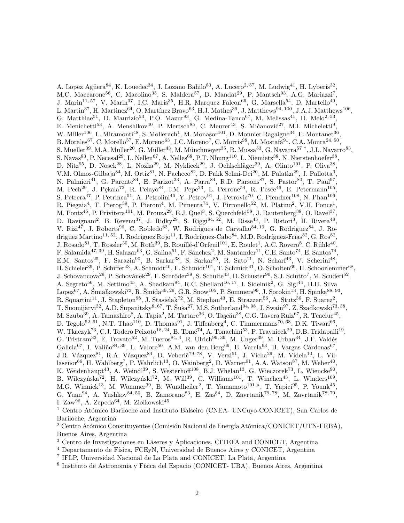A. Lopez Agüera<sup>84</sup>, K. Louedec<sup>34</sup>, J. Lozano Bahilo<sup>83</sup>, A. Lucero<sup>2, 57</sup>, M. Ludwig<sup>41</sup>, H. Lyberis<sup>32</sup>, M.C. Maccarone<sup>56</sup>, C. Macolino<sup>35</sup>, S. Maldera<sup>57</sup>, D. Mandat<sup>29</sup>, P. Mantsch<sup>93</sup>, A.G. Mariazzi<sup>7</sup>, J. Marin<sup>11, 57</sup>, V. Marin<sup>37</sup>, I.C. Maris<sup>35</sup>, H.R. Marquez Falcon<sup>66</sup>, G. Marsella<sup>54</sup>, D. Martello<sup>49</sup>, L. Martin<sup>37</sup>, H. Martinez<sup>64</sup>, O. Martínez Bravo<sup>63</sup>, H.J. Mathes<sup>39</sup>, J. Matthews<sup>94, 100</sup>, J.A.J. Matthews<sup>106</sup>, G. Matthiae<sup>51</sup>, D. Maurizio<sup>53</sup>, P.O. Mazur<sup>93</sup>, G. Medina-Tanco<sup>67</sup>, M. Melissas<sup>41</sup>, D. Melo<sup>2, 53</sup>, E. Menichetti<sup>53</sup>, A. Menshikov<sup>40</sup>, P. Mertsch<sup>85</sup>, C. Meurer<sup>43</sup>, S. Mićanović<sup>27</sup>, M.I. Micheletti<sup>9</sup>, W. Miller<sup>106</sup>, L. Miramonti<sup>48</sup>, S. Mollerach<sup>1</sup>, M. Monasor<sup>101</sup>, D. Monnier Ragaigne<sup>34</sup>, F. Montanet<sup>36</sup>, B. Morales<sup>67</sup>, C. Morello<sup>57</sup>, E. Moreno<sup>63</sup>, J.C. Moreno<sup>7</sup>, C. Morris<sup>98</sup>, M. Mostafá<sup>91</sup>, C.A. Moura<sup>24, 50</sup>, S. Mueller<sup>39</sup>, M.A. Muller<sup>20</sup>, G. Müller<sup>43</sup>, M. Münchmeyer<sup>35</sup>, R. Mussa<sup>53</sup>, G. Navarra<sup>57†</sup>, J.L. Navarro<sup>83</sup>, S. Navas<sup>83</sup>, P. Necesal<sup>29</sup>, L. Nellen<sup>67</sup>, A. Nelles<sup>68</sup>, P.T. Nhung<sup>110</sup>, L. Niemietz<sup>38</sup>, N. Nierstenhoefer<sup>38</sup>, D. Nitz<sup>95</sup>, D. Nosek<sup>28</sup>, L. Nožka<sup>29</sup>, M. Nyklicek<sup>29</sup>, J. Oehlschläger<sup>39</sup>, A. Olinto<sup>101</sup>, P. Oliva<sup>38</sup>, V.M. Olmos-Gilbaja<sup>84</sup>, M. Ortiz<sup>81</sup>, N. Pacheco<sup>82</sup>, D. Pakk Selmi-Dei<sup>20</sup>, M. Palatka<sup>29</sup>, J. Pallotta<sup>3</sup>, N. Palmieri<sup>41</sup>, G. Parente<sup>84</sup>, E. Parizot<sup>33</sup>, A. Parra<sup>84</sup>, R.D. Parsons<sup>87</sup>, S. Pastor<sup>80</sup>, T. Paul<sup>97</sup>, M. Pech<sup>29</sup>, J. Pękala<sup>72</sup>, R. Pelayo<sup>84</sup>, I.M. Pepe<sup>23</sup>, L. Perrone<sup>54</sup>, R. Pesce<sup>46</sup>, E. Petermann<sup>105</sup>, S. Petrera<sup>47</sup>, P. Petrinca<sup>51</sup>, A. Petrolini<sup>46</sup>, Y. Petrov<sup>91</sup>, J. Petrovic<sup>70</sup>, C. Pfendner<sup>108</sup>, N. Phan<sup>106</sup>, R. Piegaia<sup>4</sup>, T. Pierog<sup>39</sup>, P. Pieroni<sup>4</sup>, M. Pimenta<sup>74</sup>, V. Pirronello<sup>52</sup>, M. Platino<sup>2</sup>, V.H. Ponce<sup>1</sup>, M. Pontz<sup>45</sup>, P. Privitera<sup>101</sup>, M. Prouza<sup>29</sup>, E.J. Quel<sup>3</sup>, S. Querchfeld<sup>38</sup>, J. Rautenberg<sup>38</sup>, O. Ravel<sup>37</sup>, D. Ravignani<sup>2</sup>, B. Revenu<sup>37</sup>, J. Ridky<sup>29</sup>, S. Riggi<sup>84, 52</sup>, M. Risse<sup>45</sup>, P. Ristori<sup>3</sup>, H. Rivera<sup>48</sup>, V. Rizi<sup>47</sup>, J. Roberts<sup>96</sup>, C. Robledo<sup>63</sup>, W. Rodrigues de Carvalho<sup>84, 19</sup>, G. Rodriguez<sup>84</sup>, J. Rodriguez Martino<sup>11, 52</sup>, J. Rodriguez Rojo<sup>11</sup>, I. Rodriguez-Cabo<sup>84</sup>, M.D. Rodríguez-Frías<sup>82</sup>, G. Ros<sup>82</sup>, J. Rosado<sup>81</sup>, T. Rossler<sup>30</sup>, M. Roth<sup>39</sup>, B. Rouillé-d'Orfeuil<sup>101</sup>, E. Roulet<sup>1</sup>, A.C. Rovero<sup>8</sup>, C. Rühle<sup>40</sup>, F. Salamida<sup>47, 39</sup>, H. Salazar<sup>63</sup>, G. Salina<sup>51</sup>, F. Sánchez<sup>2</sup>, M. Santander<sup>11</sup>, C.E. Santo<sup>74</sup>, E. Santos<sup>74</sup>, E.M. Santos<sup>25</sup>, F. Sarazin<sup>90</sup>, B. Sarkar<sup>38</sup>, S. Sarkar<sup>85</sup>, R. Sato<sup>11</sup>, N. Scharf<sup>43</sup>, V. Scherini<sup>48</sup>, H. Schieler<sup>39</sup>, P. Schiffer<sup>43</sup>, A. Schmidt<sup>40</sup>, F. Schmidt<sup>101</sup>, T. Schmidt<sup>41</sup>, O. Scholten<sup>69</sup>, H. Schoorlemmer<sup>68</sup>, J. Schovancova<sup>29</sup>, P. Schovánek<sup>29</sup>, F. Schröder<sup>39</sup>, S. Schulte<sup>43</sup>, D. Schuster<sup>90</sup>, S.J. Sciutto<sup>7</sup>, M. Scuderi<sup>52</sup>, A. Segreto<sup>56</sup>, M. Settimo<sup>45</sup>, A. Shadkam<sup>94</sup>, R.C. Shellard<sup>16, 17</sup>, I. Sidelnik<sup>2</sup>, G. Sigl<sup>44</sup>, H.H. Silva  $\text{Lopez}^{67}$ , A. Śmiałkowski $^{73}$ , R. Šmída $^{39, 29}$ , G.R. Snow $^{105}$ , P. Sommers $^{99}$ , J. Sorokin $^{13}$ , H. Spinka $^{88, 93}$ , R. Squartini<sup>11</sup>, J. Stapleton<sup>98</sup>, J. Stasielak<sup>72</sup>, M. Stephan<sup>43</sup>, E. Strazzeri<sup>56</sup>, A. Stutz<sup>36</sup>, F. Suarez<sup>2</sup>, T. Suomijärvi<sup>32</sup>, A.D. Supanitsky<sup>8, 67</sup>, T. Šuša<sup>27</sup>, M.S. Sutherland<sup>94, 98</sup>, J. Swain<sup>97</sup>, Z. Szadkowski<sup>73, 38</sup>, M. Szuba $^{39}$ , A. Tamashiro $^8$ , A. Tapia $^2$ , M. Tartare $^{36}$ , O. Taşcău $^{38}$ , C.G. Tavera Ruiz $^{67}$ , R. Tcaciuc $^{45}$ , D. Tegolo<sup>52, 61</sup>, N.T. Thao<sup>110</sup>, D. Thomas<sup>91</sup>, J. Tiffenberg<sup>4</sup>, C. Timmermans<sup>70, 68</sup>, D.K. Tiwari<sup>66</sup>, W. Tkaczyk<sup>73</sup>, C.J. Todero Peixoto<sup>18, 24</sup>, B. Tomé<sup>74</sup>, A. Tonachini<sup>53</sup>, P. Travnicek<sup>29</sup>, D.B. Tridapalli<sup>19</sup>, G. Tristram<sup>33</sup>, E. Trovato<sup>52</sup>, M. Tueros<sup>84, 4</sup>, R. Ulrich<sup>99, 39</sup>, M. Unger<sup>39</sup>, M. Urban<sup>34</sup>, J.F. Valdés Galicia<sup>67</sup>, I. Valiño<sup>84, 39</sup>, L. Valore<sup>50</sup>, A.M. van den Berg<sup>69</sup>, E. Varela<sup>63</sup>, B. Vargas Cárdenas<sup>67</sup>, J.R. Vázquez<sup>81</sup>, R.A. Vázquez<sup>84</sup>, D. Veberič<sup>79, 78</sup>, V. Verzi<sup>51</sup>, J. Vicha<sup>29</sup>, M. Videla<sup>10</sup>, L. Vil- $\alpha^{66}$ , H. Wahlberg<sup>7</sup>, P. Wahrlich<sup>13</sup>, O. Wainberg<sup>2</sup>, D. Warner<sup>91</sup>, A.A. Watson<sup>87</sup>, M. Weber<sup>40</sup>, K. Weidenhaupt<sup>43</sup>, A. Weindl<sup>39</sup>, S. Westerhoff<sup>108</sup>, B.J. Whelan<sup>13</sup>, G. Wieczorek<sup>73</sup>, L. Wiencke<sup>90</sup>, B. Wilczyńska<sup>72</sup>, H. Wilczyński<sup>72</sup>, M. Will<sup>39</sup>, C. Williams<sup>101</sup>, T. Winchen<sup>43</sup>, L. Winders<sup>109</sup>, M.G. Winnick<sup>13</sup>, M. Wommer<sup>39</sup>, B. Wundheiler<sup>2</sup>, T. Yamamoto<sup>101 a</sup>, T. Yapici<sup>95</sup>, P. Younk<sup>45</sup>, G. Yuan<sup>94</sup>, A. Yushkov<sup>84, 50</sup>, B. Zamorano<sup>83</sup>, E. Zas<sup>84</sup>, D. Zavrtanik<sup>79, 78</sup>, M. Zavrtanik<sup>78, 79</sup>, I. Zaw<sup>96</sup>, A. Zepeda<sup>64</sup>, M. Ziolkowski<sup>45</sup>

<sup>1</sup> Centro Atómico Bariloche and Instituto Balseiro (CNEA- UNCuyo-CONICET), San Carlos de Bariloche, Argentina

<sup>2</sup> Centro Atómico Constituyentes (Comisión Nacional de Energía Atómica/CONICET/UTN-FRBA), Buenos Aires, Argentina

<sup>3</sup> Centro de Investigaciones en Láseres y Aplicaciones, CITEFA and CONICET, Argentina

 $4$  Departamento de Física, FCEyN, Universidad de Buenos Aires y CONICET, Argentina

7 IFLP, Universidad Nacional de La Plata and CONICET, La Plata, Argentina

<sup>8</sup> Instituto de Astronomía y Física del Espacio (CONICET- UBA), Buenos Aires, Argentina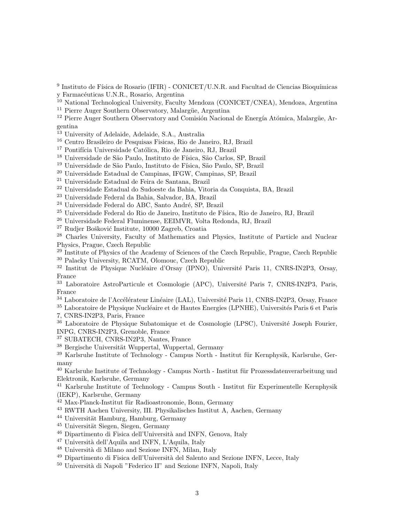<sup>9</sup> Instituto de Física de Rosario (IFIR) - CONICET/U.N.R. and Facultad de Ciencias Bioquímicas y Farmacéuticas U.N.R., Rosario, Argentina

<sup>10</sup> National Technological University, Faculty Mendoza (CONICET/CNEA), Mendoza, Argentina

<sup>11</sup> Pierre Auger Southern Observatory, Malargüe, Argentina

<sup>12</sup> Pierre Auger Southern Observatory and Comisión Nacional de Energía Atómica, Malargüe, Argentina

<sup>13</sup> University of Adelaide, Adelaide, S.A., Australia

<sup>16</sup> Centro Brasileiro de Pesquisas Fisicas, Rio de Janeiro, RJ, Brazil

<sup>17</sup> Pontifícia Universidade Católica, Rio de Janeiro, RJ, Brazil

<sup>18</sup> Universidade de São Paulo, Instituto de Física, São Carlos, SP, Brazil

<sup>19</sup> Universidade de São Paulo, Instituto de Física, São Paulo, SP, Brazil

<sup>20</sup> Universidade Estadual de Campinas, IFGW, Campinas, SP, Brazil

<sup>21</sup> Universidade Estadual de Feira de Santana, Brazil

<sup>22</sup> Universidade Estadual do Sudoeste da Bahia, Vitoria da Conquista, BA, Brazil

<sup>23</sup> Universidade Federal da Bahia, Salvador, BA, Brazil

<sup>24</sup> Universidade Federal do ABC, Santo André, SP, Brazil

<sup>25</sup> Universidade Federal do Rio de Janeiro, Instituto de Física, Rio de Janeiro, RJ, Brazil

<sup>26</sup> Universidade Federal Fluminense, EEIMVR, Volta Redonda, RJ, Brazil

<sup>27</sup> Rudjer Bošković Institute, 10000 Zagreb, Croatia

<sup>28</sup> Charles University, Faculty of Mathematics and Physics, Institute of Particle and Nuclear Physics, Prague, Czech Republic

<sup>29</sup> Institute of Physics of the Academy of Sciences of the Czech Republic, Prague, Czech Republic <sup>30</sup> Palacky University, RCATM, Olomouc, Czech Republic

 $32$  Institut de Physique Nucléaire d'Orsay (IPNO), Université Paris 11, CNRS-IN2P3, Orsay, France

<sup>33</sup> Laboratoire AstroParticule et Cosmologie (APC), Université Paris 7, CNRS-IN2P3, Paris, France

<sup>34</sup> Laboratoire de l'Accélérateur Linéaire (LAL), Université Paris 11, CNRS-IN2P3, Orsay, France

<sup>35</sup> Laboratoire de Physique Nucléaire et de Hautes Energies (LPNHE), Universités Paris 6 et Paris

7, CNRS-IN2P3, Paris, France

 $36$  Laboratoire de Physique Subatomique et de Cosmologie (LPSC), Université Joseph Fourier, INPG, CNRS-IN2P3, Grenoble, France

<sup>37</sup> SUBATECH, CNRS-IN2P3, Nantes, France

 $38$  Bergische Universität Wuppertal, Wuppertal, Germany

<sup>39</sup> Karlsruhe Institute of Technology - Campus North - Institut für Kernphysik, Karlsruhe, Germany

 $40$  Karlsruhe Institute of Technology - Campus North - Institut für Prozessdatenverarbeitung und Elektronik, Karlsruhe, Germany

 $41$  Karlsruhe Institute of Technology - Campus South - Institut für Experimentelle Kernphysik (IEKP), Karlsruhe, Germany

<sup>42</sup> Max-Planck-Institut für Radioastronomie, Bonn, Germany

<sup>43</sup> RWTH Aachen University, III. Physikalisches Institut A, Aachen, Germany

 $44$  Universität Hamburg, Hamburg, Germany

 $45$  Universität Siegen, Siegen, Germany

 $^{46}$  Dipartimento di Fisica dell'Università and INFN, Genova, Italy

 $47$  Università dell'Aquila and INFN, L'Aquila, Italy

<sup>48</sup> Università di Milano and Sezione INFN, Milan, Italy

<sup>49</sup> Dipartimento di Fisica dell'Università del Salento and Sezione INFN, Lecce, Italy

<sup>50</sup> Università di Napoli "Federico II" and Sezione INFN, Napoli, Italy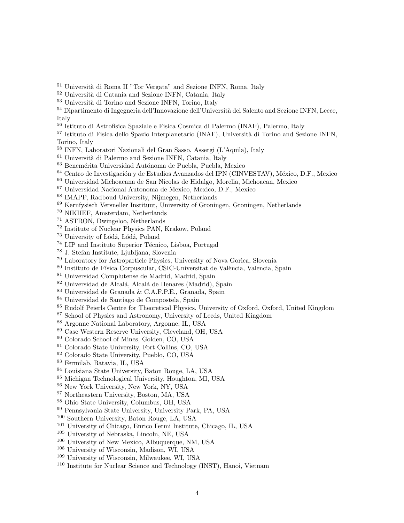<sup>51</sup> Università di Roma II "Tor Vergata" and Sezione INFN, Roma, Italy

- Università di Catania and Sezione INFN, Catania, Italy
- <sup>53</sup> Università di Torino and Sezione INFN, Torino, Italy
- 54 Dipartimento di Ingegneria dell'Innovazione dell'Università del Salento and Sezione INFN. Lecce, Italy
- Istituto di Astrofisica Spaziale e Fisica Cosmica di Palermo (INAF), Palermo, Italy
- <sup>57</sup> Istituto di Fisica dello Spazio Interplanetario (INAF), Università di Torino and Sezione INFN. Torino, Italy
- INFN, Laboratori Nazionali del Gran Sasso, Assergi (L'Aquila), Italy
- Università di Palermo and Sezione INFN, Catania, Italy
- $^{63}$  Benemérita Universidad Autónoma de Puebla, Puebla, Mexico
- <sup>64</sup> Centro de Investigación y de Estudios Avanzados del IPN (CINVESTAV), México, D.F., Mexico
- Universidad Michoacana de San Nicolas de Hidalgo, Morelia, Michoacan, Mexico
- Universidad Nacional Autonoma de Mexico, Mexico, D.F., Mexico
- IMAPP, Radboud University, Nijmegen, Netherlands
- Kernfysisch Versneller Instituut, University of Groningen, Groningen, Netherlands
- NIKHEF, Amsterdam, Netherlands
- ASTRON, Dwingeloo, Netherlands
- Institute of Nuclear Physics PAN, Krakow, Poland
- <sup>73</sup> University of Lódź, Lódź, Poland
- $^{74}$  LIP and Instituto Superior Técnico, Lisboa, Portugal
- J. Stefan Institute, Ljubljana, Slovenia
- Laboratory for Astroparticle Physics, University of Nova Gorica, Slovenia
- <sup>80</sup> Instituto de Física Corpuscular, CSIC-Universitat de València, Valencia, Spain
- Universidad Complutense de Madrid, Madrid, Spain
- <sup>82</sup> Universidad de Alcalá, Alcalá de Henares (Madrid), Spain
- Universidad de Granada & C.A.F.P.E., Granada, Spain
- Universidad de Santiago de Compostela, Spain
- <sup>85</sup> Rudolf Peierls Centre for Theoretical Physics, University of Oxford, Oxford, United Kingdom
- School of Physics and Astronomy, University of Leeds, United Kingdom
- Argonne National Laboratory, Argonne, IL, USA
- Case Western Reserve University, Cleveland, OH, USA
- Colorado School of Mines, Golden, CO, USA
- Colorado State University, Fort Collins, CO, USA
- Colorado State University, Pueblo, CO, USA
- Fermilab, Batavia, IL, USA
- Louisiana State University, Baton Rouge, LA, USA
- Michigan Technological University, Houghton, MI, USA
- New York University, New York, NY, USA
- Northeastern University, Boston, MA, USA
- Ohio State University, Columbus, OH, USA
- Pennsylvania State University, University Park, PA, USA
- Southern University, Baton Rouge, LA, USA
- University of Chicago, Enrico Fermi Institute, Chicago, IL, USA
- University of Nebraska, Lincoln, NE, USA
- University of New Mexico, Albuquerque, NM, USA
- University of Wisconsin, Madison, WI, USA
- University of Wisconsin, Milwaukee, WI, USA
- Institute for Nuclear Science and Technology (INST), Hanoi, Vietnam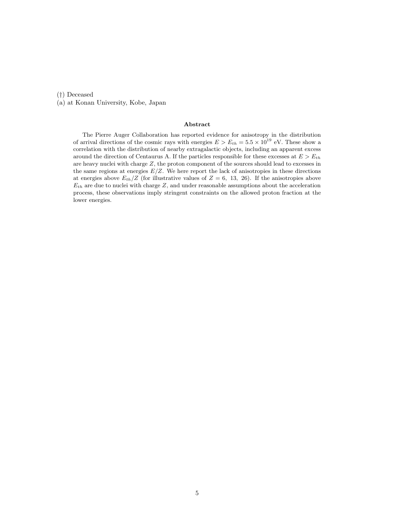(†) Deceased

(a) at Konan University, Kobe, Japan

#### Abstract

The Pierre Auger Collaboration has reported evidence for anisotropy in the distribution of arrival directions of the cosmic rays with energies  $E > E_{th} = 5.5 \times 10^{19}$  eV. These show a correlation with the distribution of nearby extragalactic objects, including an apparent excess around the direction of Centaurus A. If the particles responsible for these excesses at  $E > E_{th}$ are heavy nuclei with charge  $Z$ , the proton component of the sources should lead to excesses in the same regions at energies  $E/Z$ . We here report the lack of anisotropies in these directions at energies above  $E_{th}/Z$  (for illustrative values of  $Z = 6, 13, 26$ ). If the anisotropies above  $E_{th}$  are due to nuclei with charge Z, and under reasonable assumptions about the acceleration process, these observations imply stringent constraints on the allowed proton fraction at the lower energies.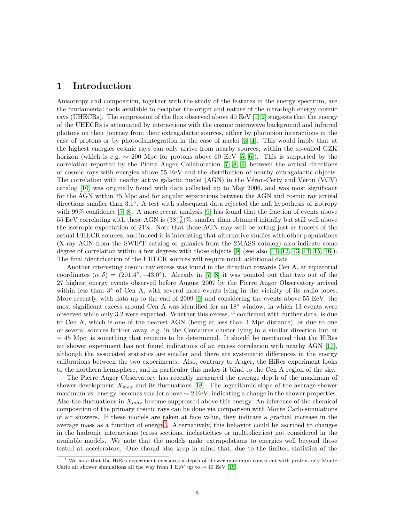## 1 Introduction

Anisotropy and composition, together with the study of the features in the energy spectrum, are the fundamental tools available to decipher the origin and nature of the ultra-high energy cosmic rays (UHECRs). The suppression of the flux observed above 40 EeV [\[1,](#page-15-0) [2\]](#page-15-1) suggests that the energy of the UHECRs is attenuated by interactions with the cosmic microwave background and infrared photons on their journey from their extragalactic sources, either by photopion interactions in the case of protons or by photodisintegration in the case of nuclei [\[3,](#page-15-2) [4\]](#page-15-3). This would imply that at the highest energies cosmic rays can only arrive from nearby sources, within the so-called GZK horizon (which is e.g.  $\sim 200$  Mpc for protons above 60 EeV [\[5,](#page-15-4) [6\]](#page-15-5)). This is supported by the correlation reported by the Pierre Auger Collaboration [\[7,](#page-15-6) [8,](#page-15-7) [9\]](#page-15-8) between the arrival directions of cosmic rays with energies above 55 EeV and the distribution of nearby extragalactic objects. The correlation with nearby active galactic nuclei (AGN) in the Véron-Cetty and Véron (VCV) catalog [\[10\]](#page-15-9) was originally found with data collected up to May 2006, and was most significant for the AGN within 75 Mpc and for angular separations between the AGN and cosmic ray arrival directions smaller than 3.1◦ . A test with subsequent data rejected the null hypothesis of isotropy with 99% confidence [\[7,](#page-15-6) [8\]](#page-15-7). A more recent analysis [\[9\]](#page-15-8) has found that the fraction of events above 55 EeV correlating with these AGN is  $(38^{+7}_{-6})\%$ , smaller than obtained initially but still well above the isotropic expectation of 21%. Note that these AGN may well be acting just as tracers of the actual UHECR sources, and indeed it is interesting that alternative studies with other populations (X-ray AGN from the SWIFT catalog or galaxies from the 2MASS catalog) also indicate some degree of correlation within a few degrees with those objects [\[9\]](#page-15-8) (see also [\[11,](#page-15-10) [12,](#page-16-0) [13,](#page-16-1) [14,](#page-16-2) [15,](#page-16-3) [16\]](#page-16-4)). The final identification of the UHECR sources will require much additional data.

Another interesting cosmic ray excess was found in the direction towards Cen A, at equatorial coordinates  $(\alpha, \delta) = (201.4^{\circ}, -43.0^{\circ})$ . Already in [\[7,](#page-15-6) [8\]](#page-15-7) it was pointed out that two out of the 27 highest energy events observed before August 2007 by the Pierre Auger Observatory arrived within less than 3<sup>°</sup> of Cen A, with several more events lying in the vicinity of its radio lobes. More recently, with data up to the end of 2009 [\[9\]](#page-15-8) and considering the events above 55 EeV, the most significant excess around Cen A was identified for an 18◦ window, in which 13 events were observed while only 3.2 were expected. Whether this excess, if confirmed with further data, is due to Cen A, which is one of the nearest AGN (being at less than 4 Mpc distance), or due to one or several sources farther away, e.g. in the Centaurus cluster lying in a similar direction but at  $~\sim$  45 Mpc, is something that remains to be determined. It should be mentioned that the HiRes air shower experiment has not found indications of an excess correlation with nearby AGN [\[17\]](#page-16-5), although the associated statistics are smaller and there are systematic differences in the energy calibrations between the two experiments. Also, contrary to Auger, the HiRes experiment looks to the northern hemisphere, and in particular this makes it blind to the Cen A region of the sky.

The Pierre Auger Observatory has recently measured the average depth of the maximum of shower development  $X_{max}$  and its fluctuations [\[18\]](#page-16-6). The logarithmic slope of the average shower maximum vs. energy becomes smaller above  $\sim 2 \text{ EeV}$ , indicating a change in the shower properties. Also the fluctuations in  $X_{max}$  become suppressed above this energy. An inference of the chemical composition of the primary cosmic rays can be done via comparison with Monte Carlo simulations of air showers. If these models are taken at face value, they indicate a gradual increase in the average mass as a function of energy<sup>[1](#page-7-0)</sup>. Alternatively, this behavior could be ascribed to changes in the hadronic interactions (cross sections, inelasticities or multiplicities) not considered in the available models. We note that the models make extrapolations to energies well beyond those tested at accelerators. One should also keep in mind that, due to the limited statistics of the

<span id="page-7-0"></span> $1$  We note that the HiRes experiment measures a depth of shower maximum consistent with proton-only Monte Carlo air shower simulations all the way from 1 EeV up to  $\sim 40$  EeV [\[19\]](#page-16-7).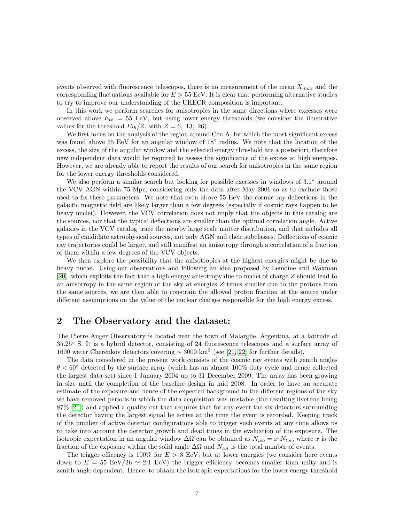events observed with fluorescence telescopes, there is no measurement of the mean  $X_{max}$  and the corresponding fluctuations available for  $E > 55$  EeV. It is clear that performing alternative studies to try to improve our understanding of the UHECR composition is important.

In this work we perform searches for anisotropies in the same directions where excesses were observed above  $E_{th} = 55$  EeV, but using lower energy thresholds (we consider the illustrative values for the threshold  $E_{th}/Z$ , with  $Z = 6, 13, 26$ .

We first focus on the analysis of the region around Cen A, for which the most significant excess was found above 55 EeV for an angular window of 18° radius. We note that the location of the excess, the size of the angular window and the selected energy threshold are a posteriori, therefore new independent data would be required to assess the significance of the excess at high energies. However, we are already able to report the results of our search for anisotropies in the same region for the lower energy thresholds considered.

We also perform a similar search but looking for possible excesses in windows of 3.1◦ around the VCV AGN within 75 Mpc, considering only the data after May 2006 so as to exclude those used to fix these parameters. We note that even above 55 EeV the cosmic ray deflections in the galactic magnetic field are likely larger than a few degrees (especially if cosmic rays happen to be heavy nuclei). However, the VCV correlation does not imply that the objects in this catalog are the sources, nor that the typical deflections are smaller than the optimal correlation angle. Active galaxies in the VCV catalog trace the nearby large scale matter distribution, and that includes all types of candidate astrophysical sources, not only AGN and their subclasses. Deflections of cosmic ray trajectories could be larger, and still manifest an anisotropy through a correlation of a fraction of them within a few degrees of the VCV objects.

We then explore the possibility that the anisotropies at the highest energies might be due to heavy nuclei. Using our observations and following an idea proposed by Lemoine and Waxman [\[20\]](#page-16-8), which exploits the fact that a high energy anisotropy due to nuclei of charge Z should lead to an anisotropy in the same region of the sky at energies Z times smaller due to the protons from the same sources, we are then able to constrain the allowed proton fraction at the source under different assumptions on the value of the nuclear charges responsible for the high energy excess.

# 2 The Observatory and the dataset:

The Pierre Auger Observatory is located near the town of Malargüe, Argentina, at a latitude of 35.25◦ S. It is a hybrid detector, consisting of 24 fluorescence telescopes and a surface array of 1600 water Cherenkov detectors covering  $\sim 3000 \text{ km}^2$  (see [\[21,](#page-16-9) [22\]](#page-16-10) for further details).

The data considered in the present work consists of the cosmic ray events with zenith angles  $\theta$  < 60 $\degree$  detected by the surface array (which has an almost 100% duty cycle and hence collected the largest data set) since 1 January 2004 up to 31 December 2009. The array has been growing in size until the completion of the baseline design in mid 2008. In order to have an accurate estimate of the exposure and hence of the expected background in the different regions of the sky we have removed periods in which the data acquisition was unstable (the resulting livetime being 87% [\[21\]](#page-16-9)) and applied a quality cut that requires that for any event the six detectors surrounding the detector having the largest signal be active at the time the event is recorded. Keeping track of the number of active detector configurations able to trigger such events at any time allows us to take into account the detector growth and dead times in the evaluation of the exposure. The isotropic expectation in an angular window  $\Delta\Omega$  can be obtained as  $N_{iso} = x N_{tot}$ , where x is the fraction of the exposure within the solid angle  $\Delta\Omega$  and  $N_{tot}$  is the total number of events.

The trigger efficency is  $100\%$  for  $E > 3$  EeV, but at lower energies (we consider here events down to  $E = 55 \text{ EeV}/26 \simeq 2.1 \text{ EeV}$  the trigger efficiency becomes smaller than unity and is zenith angle dependent. Hence, to obtain the isotropic expectations for the lower energy threshold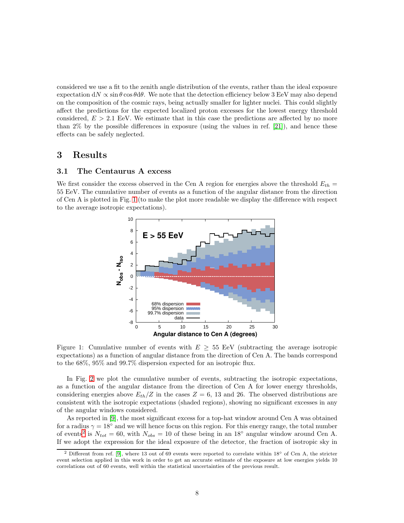considered we use a fit to the zenith angle distribution of the events, rather than the ideal exposure expectation dN  $\propto \sin \theta \cos \theta d\theta$ . We note that the detection efficiency below 3 EeV may also depend on the composition of the cosmic rays, being actually smaller for lighter nuclei. This could slightly affect the predictions for the expected localized proton excesses for the lowest energy threshold considered,  $E > 2.1$  EeV. We estimate that in this case the predictions are affected by no more than  $2\%$  by the possible differences in exposure (using the values in ref. [\[21\]](#page-16-9)), and hence these effects can be safely neglected.

#### 3 Results

#### 3.1 The Centaurus A excess

We first consider the excess observed in the Cen A region for energies above the threshold  $E_{th}$  = 55 EeV. The cumulative number of events as a function of the angular distance from the direction of Cen A is plotted in Fig. [1](#page-9-0) (to make the plot more readable we display the difference with respect to the average isotropic expectations).



<span id="page-9-0"></span>Figure 1: Cumulative number of events with  $E \geq 55$  EeV (subtracting the average isotropic expectations) as a function of angular distance from the direction of Cen A. The bands correspond to the 68%, 95% and 99.7% dispersion expected for an isotropic flux.

In Fig. [2](#page-10-0) we plot the cumulative number of events, subtracting the isotropic expectations, as a function of the angular distance from the direction of Cen A for lower energy thresholds, considering energies above  $E_{th}/Z$  in the cases  $Z = 6$ , 13 and 26. The observed distributions are consistent with the isotropic expectations (shaded regions), showing no significant excesses in any of the angular windows considered.

As reported in [\[9\]](#page-15-8), the most significant excess for a top-hat window around Cen A was obtained for a radius  $\gamma = 18°$  and we will hence focus on this region. For this energy range, the total number of events<sup>[2](#page-9-1)</sup> is  $N_{tot} = 60$ , with  $N_{obs} = 10$  of these being in an 18<sup>°</sup> angular window around Cen A. If we adopt the expression for the ideal exposure of the detector, the fraction of isotropic sky in

<span id="page-9-1"></span><sup>&</sup>lt;sup>2</sup> Different from ref. [\[9\]](#page-15-8), where 13 out of 69 events were reported to correlate within  $18°$  of Cen A, the stricter event selection applied in this work in order to get an accurate estimate of the exposure at low energies yields 10 correlations out of 60 events, well within the statistical uncertainties of the previous result.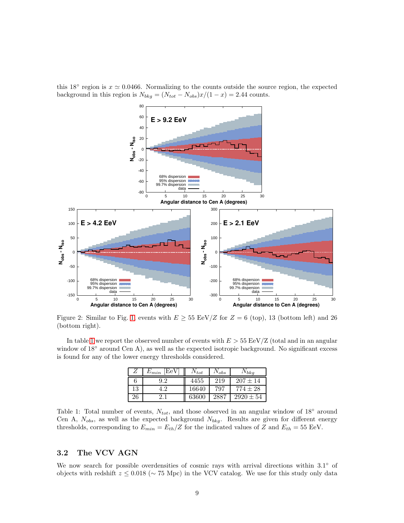

this 18<sup>°</sup> region is  $x \simeq 0.0466$ . Normalizing to the counts outside the source region, the expected background in this region is  $N_{bkg} = (N_{tot} - N_{obs})x/(1 - x) = 2.44$  counts.

<span id="page-10-0"></span>Figure 2: Similar to Fig. [1,](#page-9-0) events with  $E \geq 55 \text{ EeV}/Z$  for  $Z = 6 \text{ (top)}$ , 13 (bottom left) and 26 (bottom right).

In table [1](#page-10-1) we report the observed number of events with  $E > 55 \text{ EeV/Z}$  (total and in an angular window of 18° around Cen A), as well as the expected isotropic background. No significant excess is found for any of the lower energy thresholds considered.

| Z  | EeV<br>$E_{min}$ | $N_{tot}$ | $N_{obs}$ | $N_{bkg}$     |
|----|------------------|-----------|-----------|---------------|
| n  |                  | 4455      | 219       | $207 \pm 14$  |
| 13 | 19               | 16640     | 797       | $774\pm28$    |
| 26 |                  | 63600     | 2887      | $2920 \pm 54$ |

<span id="page-10-1"></span>Table 1: Total number of events,  $N_{tot}$ , and those observed in an angular window of 18<sup>°</sup> around Cen A,  $N_{obs}$ , as well as the expected background  $N_{bkg}$ . Results are given for different energy thresholds, corresponding to  $E_{min} = E_{th}/Z$  for the indicated values of Z and  $E_{th} = 55$  EeV.

#### 3.2 The VCV AGN

We now search for possible overdensities of cosmic rays with arrival directions within 3.1° of objects with redshift  $z \leq 0.018$  ( $\sim$  75 Mpc) in the VCV catalog. We use for this study only data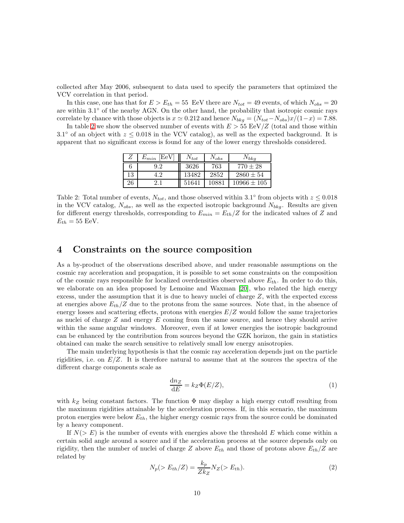collected after May 2006, subsequent to data used to specify the parameters that optimized the VCV correlation in that period.

In this case, one has that for  $E > E_{th} = 55$  EeV there are  $N_{tot} = 49$  events, of which  $N_{obs} = 20$ are within 3.1° of the nearby AGN. On the other hand, the probability that isotropic cosmic rays correlate by chance with those objects is  $x \approx 0.212$  and hence  $N_{bkg} = (N_{tot} - N_{obs})x/(1-x) = 7.88$ .

In table [2](#page-11-0) we show the observed number of events with  $E > 55$  EeV/Z (total and those within 3.1° of an object with  $z \leq 0.018$  in the VCV catalog), as well as the expected background. It is apparent that no significant excess is found for any of the lower energy thresholds considered.

| Z  | EeV<br>$\mathcal{L}_{min}$ | $\Delta v_{tot}$ | $^{10}$ obs | $N_{bkg}$     |
|----|----------------------------|------------------|-------------|---------------|
|    | $\rm 9.2$                  | 3626             | 763         | $770\pm28$    |
| 13 | ി                          | 13482            | 2852        | $2860 \pm 54$ |
| 26 |                            | 51641            | 10881       | $10966\pm105$ |

<span id="page-11-0"></span>Table 2: Total number of events,  $N_{tot}$ , and those observed within 3.1° from objects with  $z \leq 0.018$ in the VCV catalog,  $N_{obs}$ , as well as the expected isotropic background  $N_{bkg}$ . Results are given for different energy thresholds, corresponding to  $E_{min} = E_{th}/Z$  for the indicated values of Z and  $E_{th} = 55$  EeV.

## 4 Constraints on the source composition

As a by-product of the observations described above, and under reasonable assumptions on the cosmic ray acceleration and propagation, it is possible to set some constraints on the composition of the cosmic rays responsible for localized overdensities observed above  $E_{th}$ . In order to do this, we elaborate on an idea proposed by Lemoine and Waxman [\[20\]](#page-16-8), who related the high energy excess, under the assumption that it is due to heavy nuclei of charge  $Z$ , with the expected excess at energies above  $E_{th}/Z$  due to the protons from the same sources. Note that, in the absence of energy losses and scattering effects, protons with energies  $E/Z$  would follow the same trajectories as nuclei of charge Z and energy E coming from the same source, and hence they should arrive within the same angular windows. Moreover, even if at lower energies the isotropic background can be enhanced by the contribution from sources beyond the GZK horizon, the gain in statistics obtained can make the search sensitive to relatively small low energy anisotropies.

The main underlying hypothesis is that the cosmic ray acceleration depends just on the particle rigidities, i.e. on  $E/Z$ . It is therefore natural to assume that at the sources the spectra of the different charge components scale as

<span id="page-11-1"></span>
$$
\frac{\mathrm{d}n_Z}{\mathrm{d}E} = k_Z \Phi(E/Z),\tag{1}
$$

with  $k_Z$  being constant factors. The function  $\Phi$  may display a high energy cutoff resulting from the maximum rigidities attainable by the acceleration process. If, in this scenario, the maximum proton energies were below  $E_{th}$ , the higher energy cosmic rays from the source could be dominated by a heavy component.

If  $N(> E)$  is the number of events with energies above the threshold E which come within a certain solid angle around a source and if the acceleration process at the source depends only on rigidity, then the number of nuclei of charge Z above  $E_{th}$  and those of protons above  $E_{th}/Z$  are related by

<span id="page-11-2"></span>
$$
N_p(>E_{th}/Z) = \frac{k_p}{Zk_Z} N_Z(>E_{th}).
$$
\n(2)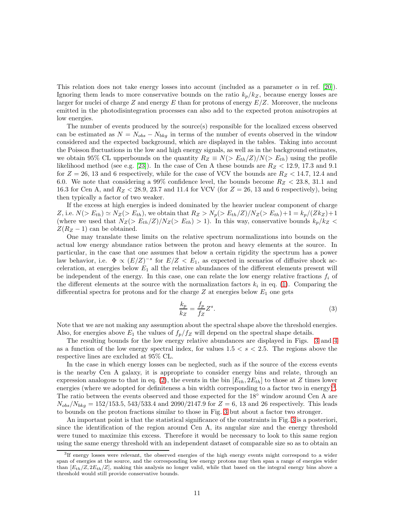This relation does not take energy losses into account (included as a parameter  $\alpha$  in ref. [\[20\]](#page-16-8)). Ignoring them leads to more conservative bounds on the ratio  $k_p/k_Z$ , because energy losses are larger for nuclei of charge Z and energy E than for protons of energy  $E/Z$ . Moreover, the nucleons emitted in the photodisintegration processes can also add to the expected proton anisotropies at low energies.

The number of events produced by the source(s) responsible for the localized excess observed can be estimated as  $N = N_{obs} - N_{bkg}$  in terms of the number of events observed in the window considered and the expected background, which are displayed in the tables. Taking into account the Poisson fluctuations in the low and high energy signals, as well as in the background estimates, we obtain 95% CL upperbounds on the quantity  $R_Z \equiv N(> E_{th}/Z)/N(> E_{th})$  using the profile likelihood method (see e.g. [\[23\]](#page-16-11)). In the case of Cen A these bounds are  $R_Z < 12.9, 17.3$  and 9.1 for  $Z = 26$ , 13 and 6 respectively, while for the case of VCV the bounds are  $R_Z < 14.7$ , 12.4 and 6.0. We note that considering a 99% confidence level, the bounds become  $R_Z < 23.8$ , 31.1 and 16.3 for Cen A, and  $R_Z < 28.9$ , 23.7 and 11.4 for VCV (for  $Z = 26$ , 13 and 6 respectively), being then typically a factor of two weaker.

If the excess at high energies is indeed dominated by the heavier nuclear component of charge Z, i.e.  $N(> E_{th}) \simeq N_Z(> E_{th})$ , we obtain that  $R_Z > N_p(> E_{th}/Z)/N_Z(> E_{th})+1 = k_p/(Zk_Z)+1$ (where we used that  $N_Z(> E_{th}/Z)/N_Z(> E_{th}) > 1$ ). In this way, conservative bounds  $k_p/k_Z <$  $Z(R_Z - 1)$  can be obtained.

One may translate these limits on the relative spectrum normalizations into bounds on the actual low energy abundance ratios between the proton and heavy elements at the source. In particular, in the case that one assumes that below a certain rigidity the spectrum has a power law behavior, i.e.  $\Phi \propto (E/Z)^{-s}$  for  $E/Z < E_1$ , as expected in scenarios of diffusive shock acceleration, at energies below  $E_1$  all the relative abundances of the different elements present will be independent of the energy. In this case, one can relate the low energy relative fractions  $f_i$  of the different elements at the source with the normalization factors  $k_i$  in eq. [\(1\)](#page-11-1). Comparing the differential spectra for protons and for the charge  $Z$  at energies below  $E_1$  one gets

$$
\frac{k_p}{k_Z} = \frac{f_p}{f_Z} Z^s. \tag{3}
$$

Note that we are not making any assumption about the spectral shape above the threshold energies. Also, for energies above  $E_1$  the values of  $f_p/f_Z$  will depend on the spectral shape details.

The resulting bounds for the low energy relative abundances are displayed in Figs. [3](#page-13-0) and [4](#page-14-0) as a function of the low energy spectral index, for values  $1.5 < s < 2.5$ . The regions above the respective lines are excluded at 95% CL.

In the case in which energy losses can be neglected, such as if the source of the excess events is the nearby Cen A galaxy, it is appropriate to consider energy bins and relate, through an expression analogous to that in eq. [\(2\)](#page-11-2), the events in the bin  $[E_{th}, 2E_{th}]$  to those at Z times lower energies (where we adopted for definiteness a bin width corresponding to a factor two in energy)<sup>[3](#page-12-0)</sup>. The ratio between the events observed and those expected for the 18<sup>°</sup> window around Cen A are  $N_{obs}/N_{bkg} = 152/153.5, 543/533.4$  and 2090/2147.9 for  $Z = 6, 13$  and 26 respectively. This leads to bounds on the proton fractions similar to those in Fig. [3](#page-13-0) but about a factor two stronger.

An important point is that the statistical significance of the constraints in Fig. [3](#page-13-0) is a posteriori, since the identification of the region around Cen A, its angular size and the energy threshold were tuned to maximize this excess. Therefore it would be necessary to look to this same region using the same energy threshold with an independent dataset of comparable size so as to obtain an

<span id="page-12-0"></span><sup>3</sup> If energy losses were relevant, the observed energies of the high energy events might correspond to a wider span of energies at the source, and the corresponding low energy protons may then span a range of energies wider than  $[E_{th}/Z, 2E_{th}/Z]$ , making this analysis no longer valid, while that based on the integral energy bins above a threshold would still provide conservative bounds.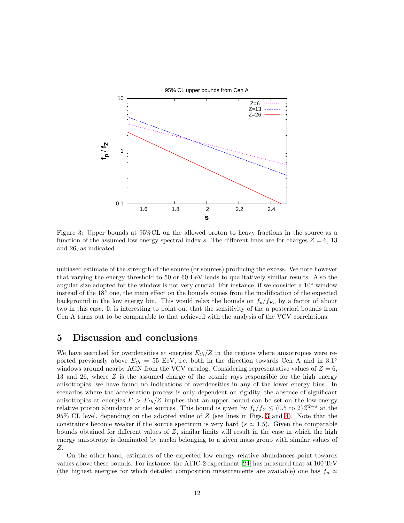

<span id="page-13-0"></span>Figure 3: Upper bounds at 95%CL on the allowed proton to heavy fractions in the source as a function of the assumed low energy spectral index s. The different lines are for charges  $Z = 6, 13$ and 26, as indicated.

unbiased estimate of the strength of the source (or sources) producing the excess. We note however that varying the energy threshold to 50 or 60 EeV leads to qualitatively similar results. Also the angular size adopted for the window is not very crucial. For instance, if we consider a  $10°$  window instead of the 18◦ one, the main effect on the bounds comes from the modification of the expected background in the low energy bin. This would relax the bounds on  $f_p/f_{Fe}$  by a factor of about two in this case. It is interesting to point out that the sensitivity of the a posteriori bounds from Cen A turns out to be comparable to that achieved with the analysis of the VCV correlations.

## 5 Discussion and conclusions

We have searched for overdensities at energies  $E_{th}/Z$  in the regions where anisotropies were reported previously above  $E_{th} = 55$  EeV, i.e. both in the direction towards Cen A and in 3.1<sup>°</sup> windows around nearby AGN from the VCV catalog. Considering representative values of  $Z = 6$ , 13 and 26, where Z is the assumed charge of the cosmic rays responsible for the high energy anisotropies, we have found no indications of overdensities in any of the lower energy bins. In scenarios where the acceleration process is only dependent on rigidity, the absence of significant anisotropies at energies  $E > E_{th}/Z$  implies that an upper bound can be set on the low-energy relative proton abundance at the sources. This bound is given by  $f_p/f_Z \leq (0.5 \text{ to } 2)Z^{2-s}$  at the 95% CL level, depending on the adopted value of Z (see lines in Figs. [3](#page-13-0) and [4\)](#page-14-0). Note that the constraints become weaker if the source spectrum is very hard ( $s \approx 1.5$ ). Given the comparable bounds obtained for different values of  $Z$ , similar limits will result in the case in which the high energy anisotropy is dominated by nuclei belonging to a given mass group with similar values of Z.

On the other hand, estimates of the expected low energy relative abundances point towards values above these bounds. For instance, the ATIC-2 experiment [\[24\]](#page-16-12) has measured that at 100 TeV (the highest energies for which detailed composition measurements are available) one has  $f_p \simeq$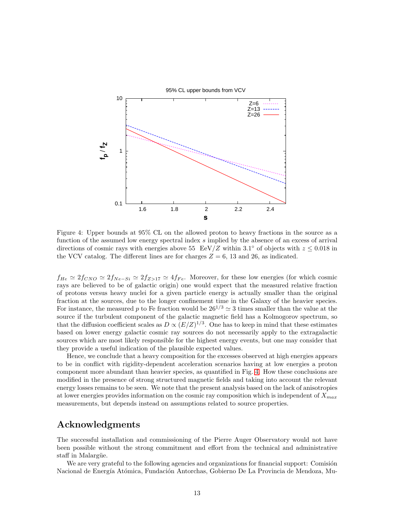

<span id="page-14-0"></span>Figure 4: Upper bounds at 95% CL on the allowed proton to heavy fractions in the source as a function of the assumed low energy spectral index s implied by the absence of an excess of arrival directions of cosmic rays with energies above 55 EeV/Z within 3.1° of objects with  $z \leq 0.018$  in the VCV catalog. The different lines are for charges  $Z = 6, 13$  and 26, as indicated.

 $f_{He} \simeq 2f_{CNO} \simeq 2f_{Ne-Si} \simeq 2f_{Z>17} \simeq 4f_{Fe}$ . Moreover, for these low energies (for which cosmic rays are believed to be of galactic origin) one would expect that the measured relative fraction of protons versus heavy nuclei for a given particle energy is actually smaller than the original fraction at the sources, due to the longer confinement time in the Galaxy of the heavier species. For instance, the measured p to Fe fraction would be  $26^{1/3} \approx 3$  times smaller than the value at the source if the turbulent component of the galactic magnetic field has a Kolmogorov spectrum, so that the diffusion coefficient scales as  $D \propto (E/Z)^{1/3}$ . One has to keep in mind that these estimates based on lower energy galactic cosmic ray sources do not necessarily apply to the extragalactic sources which are most likely responsible for the highest energy events, but one may consider that they provide a useful indication of the plausible expected values.

Hence, we conclude that a heavy composition for the excesses observed at high energies appears to be in conflict with rigidity-dependent acceleration scenarios having at low energies a proton component more abundant than heavier species, as quantified in Fig. [4.](#page-14-0) How these conclusions are modified in the presence of strong structured magnetic fields and taking into account the relevant energy losses remains to be seen. We note that the present analysis based on the lack of anisotropies at lower energies provides information on the cosmic ray composition which is independent of  $X_{max}$ measurements, but depends instead on assumptions related to source properties.

# Acknowledgments

The successful installation and commissioning of the Pierre Auger Observatory would not have been possible without the strong commitment and effort from the technical and administrative staff in Malargüe.

We are very grateful to the following agencies and organizations for financial support: Comisión Nacional de Energía Atómica, Fundación Antorchas, Gobierno De La Provincia de Mendoza, Mu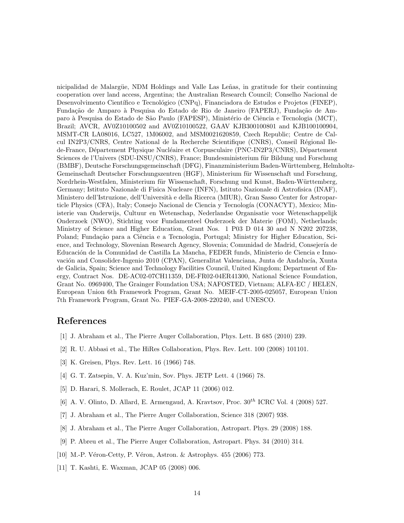nicipalidad de Malargüe, NDM Holdings and Valle Las Leñas, in gratitude for their continuing cooperation over land access, Argentina; the Australian Research Council; Conselho Nacional de Desenvolvimento Científico e Tecnológico (CNPq), Financiadora de Estudos e Projetos (FINEP), Fundação de Amparo à Pesquisa do Estado de Rio de Janeiro (FAPERJ), Fundação de Amparo à Pesquisa do Estado de São Paulo (FAPESP), Ministério de Ciência e Tecnologia (MCT), Brazil; AVCR, AV0Z10100502 and AV0Z10100522, GAAV KJB300100801 and KJB100100904, MSMT-CR LA08016, LC527, 1M06002, and MSM0021620859, Czech Republic; Centre de Calcul IN2P3/CNRS, Centre National de la Recherche Scientifique (CNRS), Conseil Régional Ilede-France, Département Physique Nucléaire et Corpusculaire (PNC-IN2P3/CNRS), Département Sciences de l'Univers (SDU-INSU/CNRS), France; Bundesministerium für Bildung und Forschung (BMBF), Deutsche Forschungsgemeinschaft (DFG), Finanzministerium Baden-W¨urttemberg, Helmholtz-Gemeinschaft Deutscher Forschungszentren (HGF), Ministerium für Wissenschaft und Forschung, Nordrhein-Westfalen, Ministerium für Wissenschaft, Forschung und Kunst, Baden-Württemberg, Germany; Istituto Nazionale di Fisica Nucleare (INFN), Istituto Nazionale di Astrofisica (INAF), Ministero dell'Istruzione, dell'Università e della Ricerca (MIUR), Gran Sasso Center for Astroparticle Physics (CFA), Italy; Consejo Nacional de Ciencia y Tecnología (CONACYT), Mexico; Ministerie van Onderwijs, Cultuur en Wetenschap, Nederlandse Organisatie voor Wetenschappelijk Onderzoek (NWO), Stichting voor Fundamenteel Onderzoek der Materie (FOM), Netherlands; Ministry of Science and Higher Education, Grant Nos. 1 P03 D 014 30 and N N202 207238, Poland; Fundação para a Ciência e a Tecnologia, Portugal; Ministry for Higher Education, Science, and Technology, Slovenian Research Agency, Slovenia; Comunidad de Madrid, Consejería de Educación de la Comunidad de Castilla La Mancha, FEDER funds, Ministerio de Ciencia e Innovación and Consolider-Ingenio 2010 (CPAN), Generalitat Valenciana, Junta de Andalucía, Xunta de Galicia, Spain; Science and Technology Facilities Council, United Kingdom; Department of Energy, Contract Nos. DE-AC02-07CH11359, DE-FR02-04ER41300, National Science Foundation, Grant No. 0969400, The Grainger Foundation USA; NAFOSTED, Vietnam; ALFA-EC / HELEN, European Union 6th Framework Program, Grant No. MEIF-CT-2005-025057, European Union 7th Framework Program, Grant No. PIEF-GA-2008-220240, and UNESCO.

# <span id="page-15-0"></span>References

- <span id="page-15-1"></span>[1] J. Abraham et al., The Pierre Auger Collaboration, Phys. Lett. B 685 (2010) 239.
- <span id="page-15-2"></span>[2] R. U. Abbasi et al., The HiRes Collaboration, Phys. Rev. Lett. 100 (2008) 101101.
- <span id="page-15-3"></span>[3] K. Greisen, Phys. Rev. Lett. 16 (1966) 748.
- <span id="page-15-4"></span>[4] G. T. Zatsepin, V. A. Kuz'min, Sov. Phys. JETP Lett. 4 (1966) 78.
- <span id="page-15-5"></span>[5] D. Harari, S. Mollerach, E. Roulet, JCAP 11 (2006) 012.
- <span id="page-15-6"></span>[6] A. V. Olinto, D. Allard, E. Armengaud, A. Kravtsov, Proc.  $30^{th}$  ICRC Vol. 4 (2008) 527.
- <span id="page-15-7"></span>[7] J. Abraham et al., The Pierre Auger Collaboration, Science 318 (2007) 938.
- <span id="page-15-8"></span>[8] J. Abraham et al., The Pierre Auger Collaboration, Astropart. Phys. 29 (2008) 188.
- <span id="page-15-9"></span>[9] P. Abreu et al., The Pierre Auger Collaboration, Astropart. Phys. 34 (2010) 314.
- <span id="page-15-10"></span>[10] M.-P. Véron-Cetty, P. Véron, Astron. & Astrophys. 455 (2006) 773.
- [11] T. Kashti, E. Waxman, JCAP 05 (2008) 006.